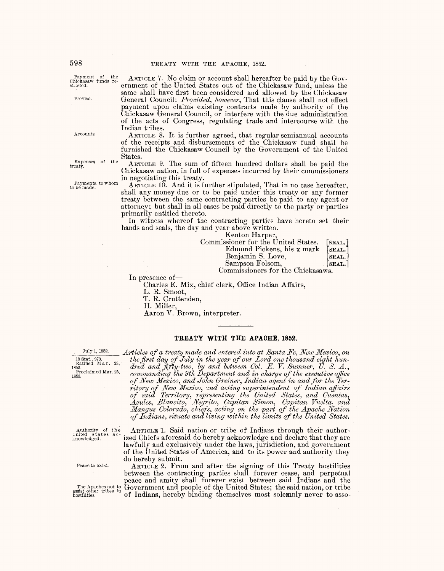**Proviso.** 

Accounts.

Payment of the ARTICLE 7. No claim or account shall hereafter be paid by the Gov-<br>stricted. ernment of the United States out of the Chickasaw fund, unless the ernment of the United States out of the Chickasaw fund, unless the same shall have first been considered and allowed by the Chickasaw General Council: *Provided, however*, That this clause shall not effect payment upon claims existing contracts made by authority of the Chickasaw General Council, or interfere with the due administration of the acts of Congress, regulating trade and intercourse with the Indian tribes.

ARTICLE 8. It is further agreed, that regular semiannual accounts of the receipts and disbursements of the Chickasaw fund shall be furnished the Chickasaw Council by the Government of the United States.<br>ARTICLE 9. The sum of fifteen hundred dollars shall be paid the

Expenses of the ARTICLE 9. The sum of fifteen hundred dollars shall be paid the treaty.<br>Chickasaw nation, in full of expenses incurred by their commissioners in negotiating this treaty.

Payments: to whom ARTICLE 10. And it is further stipulated, That in no case hereafter, shall any money due or to be paid under this treaty or any former treaty between the same contracting parties be paid to any agent or attorney; but shall in all cases be paid directly to the party or parties primarily entitled thereto.

> In witness whereof the contracting parties have hereto set their hands and seals, the day and year above written.

Kenton Harper,

Commissioner for the United States. [SEAL.]<br>Edmund Pickens, his x mark [SEAL.] Edmund Pickens, his x mark Benjamin S. Love, [SEAL.] Sampson Folsom, [SEAL.] Commissioners for the Chickasaws.

In presence of-

Charles E. Mix, chief clerk, Office Indian Affairs,

**L. R.** Smoot,

T. R. Cruttenden.

H. Miller,

Aaron V. Brown, interpreter.

## **TREATY WITH THE APACHE, 1852.**

 $\frac{J_{\text{uly 1, 1552}}}{\frac{10 \text{ Stat. 979}}{\text{Rational data N at } n}}$  Articles of a treaty made and entered into at Santa Fe, New Mexico, on<br>the first day of July in the year of our Lord one thousand eight hun-<br>1853.<br> $\frac{d}{dt}$  and fifty-two, 1sr<sub>0</sub>. **commanding the 9th Department and in charge of the executive office** is the executive office *of New Mexico, and John Greiner, Indian agent in and for the Territory Qf New Memco, and acting superintendent of Indian affairs*  of said Territory, representing the United States, and Ouentas, Azules, Blancito, Negrito, Capitan Simon, Capitan Vuelta, and<br>Mangus Colorado, chiefs, acting on the part of the Apache Nation of Indians, situate and living within the limits of the United States.

Authority of the ARTICLE 1. Said nation or tribe of Indians through their author-<br>
united States acceptance ized Chiefs aforesaid do hereby acknowledge and declare that they are ized Chiefs aforesaid do hereby acknowledge and declare that they are lawfully and exclusively under the laws, jurisdiction, and government of the United States of America, and to its power and authority they do hereby submit.

Peace to exist. ARTICLE 2. From and after the signing of this Treaty hostilities between the contracting parties shall forever cease, and perpetual peace and amity· shall forever exist between said Indians and the The Apaches not to Government and people of the United States; the said nation, or tribe assist other tribes in of Indians, hereby binding themselves most solemnly never to assoof Indians, hereby binding themselves most solemnly never to asso-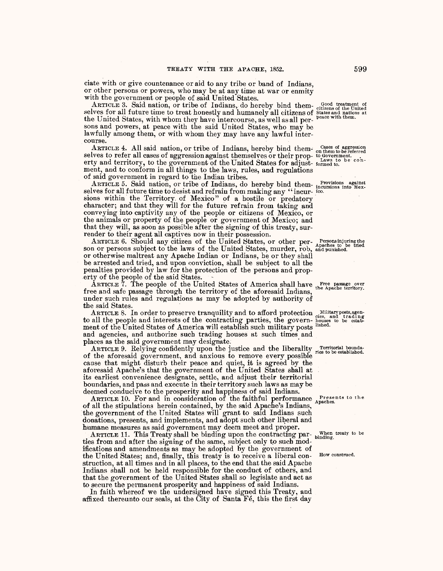ciate with or give countenance or aid to any tribe or band of Indians. or other persons or powers, who may be at any time at war or enmity with the government or people of said United States.

ARTICLE 3. Said nation, or tribe of Indians, do hereby bind them-<br>selves for all future time to treat honestly and humanely all citizens of states and nations at<br>the United States, with whom they have intercourse as well a the United States, with whom they have intercourse, as well as all persons and powers, at peace with the said United States, who may be lawfully among them, or with whom they may have any lawful intercourse.

ARTICLE 4. All said nation, or tribe of Indians, hereby bind them-<br>selves to refer all cases of aggression against themselves or their prop- to Government.<br>erty and territory to the government of the United States for adju erty and territory, to the government of the United States for adjust-formed to. ment, and to conform in all things to the laws, rules, and regulations of said government in regard to the Indian tribes.

ARTICLE 5. Said nation, or tribe of Indians, do hereby bind them- provisions against selves for all future time to desist and refrain from making any "incur-ico.<br>sions within the Territory of Mexico" of a hostile or predatory character; and that they will for the future refrain from taking and conveying into captivity any of the people or citizens of Mexico, or the animals or property of the people or government of Mexico; and that they will, as soon as possible after the signing of this treaty, surrender to their agent all captives now in their possession.

ARTICLE 6. Should any citizen of the United States, or other per- Persons injuring the son or persons subject to the laws of the United States, murder, rob, and punished. or otherwise maltreat any Apache Indian or Indians, he or they shall be arrested and tried, and upon conviction, shall be subject to all the penalties provided by law for the protection of the persons and property of the people of the said States.

ARTICLE 7. The people of the United States of America shall have the Apache territory. free and safe passage through the territory of the aforesaid Indians, under such rules and regulations as may be adopted by authority of the said States.

ARTICLE 8. In order to preserve tranquility and to afford protection Military posts, agento all the people and interests of the contracting parties, the govern-houses to be established in ment of the United States of America will establish such military posts lished. and agencies, and authorize such trading houses at such times and places as the said government may designate.

ARTICLE 9. Relying confidently upon the justice and the liberality Territorial boundaof the aforesaid government, and anxious to remove every possible cause that might disturb their peace and quiet, it is agreed by the aforesaid Apache's that the government of the United States shall at its earliest convenience designate, settle, and adjust their territorial boundaries, and pass and execute in their territory such laws as may be deemed conducive to the prosperity and happiness of said Indians.<br>ARTICLE 10. For and in consideration of the faithful performance Apaches.

of all the stipulations herein contained, by the said Apache's Indians, the government of the United States will grant to said Indians such donations, presents, and implements, and adopt such other liberal and humane measures as said government may deem meet and proper.

ARTICLE 11. This Treaty shall be binding upon the contracting par- when treaty to be ties from and after the signing of the same, subject only to such modifications and amendments as may be adopted by the government of the United States; and, finally, this treaty is to receive a liberal construction, at all times and in all places, to the end that the said Apache Indians shall not be held responsible for the conduct of others, and that the government of the United States shall so legislate and act as to secure the permanent prosperity and happiness of said Indians.

In faith whereof we the undersigned have signed this Treaty, and affixed thereunto our seals, at the City of Santa Fé, this the first day

Presents to the

How construed.